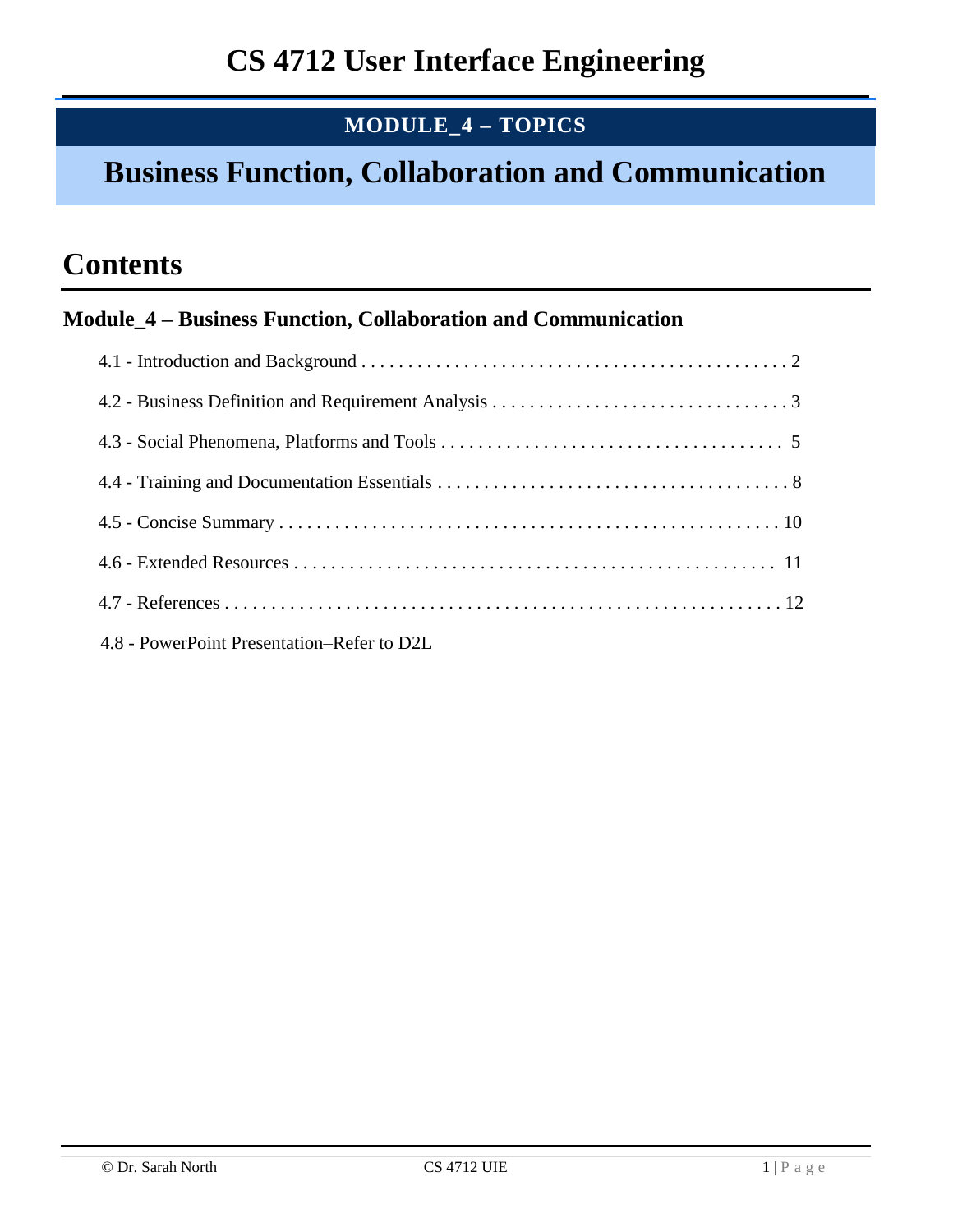## **MODULE\_4 – TOPICS**

# **Business Function, Collaboration and Communication**

# **Contents**

### **Module\_4 – Business Function, Collaboration and Communication**

| 4.8 - PowerPoint Presentation–Refer to D2L |
|--------------------------------------------|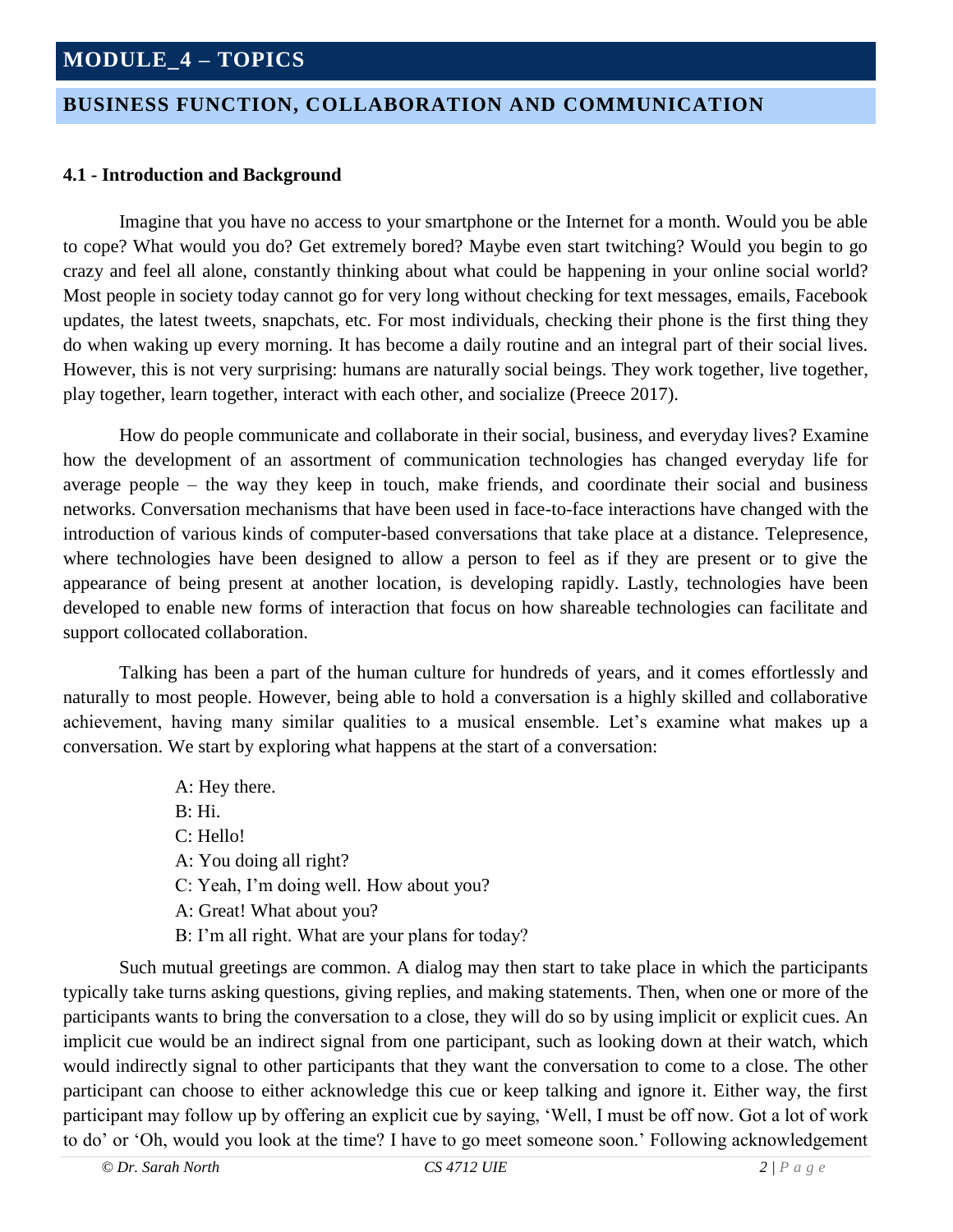### **BUSINESS FUNCTION, COLLABORATION AND COMMUNICATION**

#### **4.1 - Introduction and Background**

Imagine that you have no access to your smartphone or the Internet for a month. Would you be able to cope? What would you do? Get extremely bored? Maybe even start twitching? Would you begin to go crazy and feel all alone, constantly thinking about what could be happening in your online social world? Most people in society today cannot go for very long without checking for text messages, emails, Facebook updates, the latest tweets, snapchats, etc. For most individuals, checking their phone is the first thing they do when waking up every morning. It has become a daily routine and an integral part of their social lives. However, this is not very surprising: humans are naturally social beings. They work together, live together, play together, learn together, interact with each other, and socialize (Preece 2017).

 How do people communicate and collaborate in their social, business, and everyday lives? Examine how the development of an assortment of communication technologies has changed everyday life for average people – the way they keep in touch, make friends, and coordinate their social and business networks. Conversation mechanisms that have been used in face-to-face interactions have changed with the introduction of various kinds of computer-based conversations that take place at a distance. Telepresence, where technologies have been designed to allow a person to feel as if they are present or to give the appearance of being present at another location, is developing rapidly. Lastly, technologies have been developed to enable new forms of interaction that focus on how shareable technologies can facilitate and support collocated collaboration.

Talking has been a part of the human culture for hundreds of years, and it comes effortlessly and naturally to most people. However, being able to hold a conversation is a highly skilled and collaborative achievement, having many similar qualities to a musical ensemble. Let's examine what makes up a conversation. We start by exploring what happens at the start of a conversation:

> A: Hey there. B: Hi. C: Hello! A: You doing all right? C: Yeah, I'm doing well. How about you? A: Great! What about you? B: I'm all right. What are your plans for today?

Such mutual greetings are common. A dialog may then start to take place in which the participants typically take turns asking questions, giving replies, and making statements. Then, when one or more of the participants wants to bring the conversation to a close, they will do so by using implicit or explicit cues. An implicit cue would be an indirect signal from one participant, such as looking down at their watch, which would indirectly signal to other participants that they want the conversation to come to a close. The other participant can choose to either acknowledge this cue or keep talking and ignore it. Either way, the first participant may follow up by offering an explicit cue by saying, 'Well, I must be off now. Got a lot of work to do' or 'Oh, would you look at the time? I have to go meet someone soon.' Following acknowledgement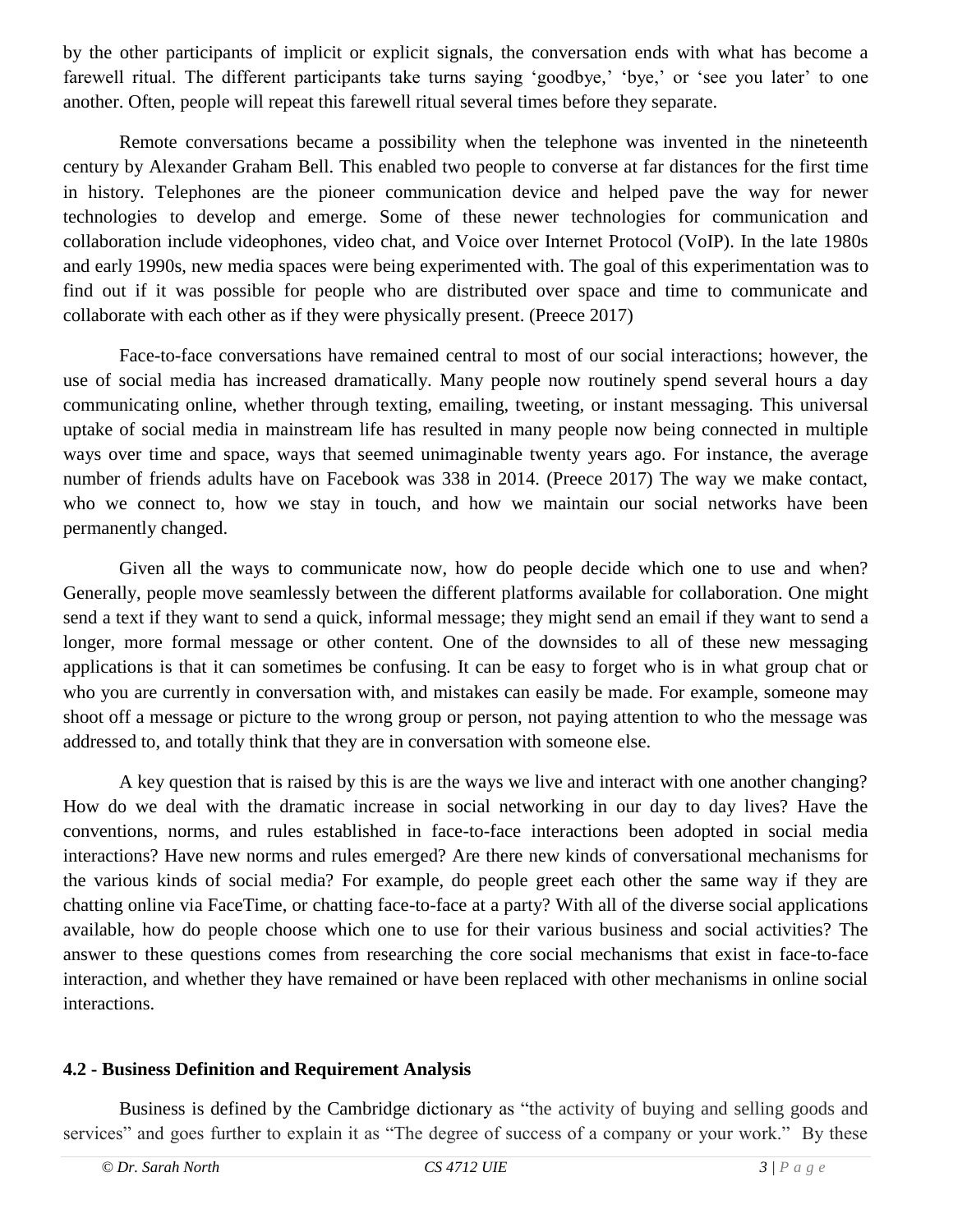by the other participants of implicit or explicit signals, the conversation ends with what has become a farewell ritual. The different participants take turns saying 'goodbye,' 'bye,' or 'see you later' to one another. Often, people will repeat this farewell ritual several times before they separate.

 Remote conversations became a possibility when the telephone was invented in the nineteenth century by Alexander Graham Bell. This enabled two people to converse at far distances for the first time in history. Telephones are the pioneer communication device and helped pave the way for newer technologies to develop and emerge. Some of these newer technologies for communication and collaboration include videophones, video chat, and Voice over Internet Protocol (VoIP). In the late 1980s and early 1990s, new media spaces were being experimented with. The goal of this experimentation was to find out if it was possible for people who are distributed over space and time to communicate and collaborate with each other as if they were physically present. (Preece 2017)

 Face-to-face conversations have remained central to most of our social interactions; however, the use of social media has increased dramatically. Many people now routinely spend several hours a day communicating online, whether through texting, emailing, tweeting, or instant messaging. This universal uptake of social media in mainstream life has resulted in many people now being connected in multiple ways over time and space, ways that seemed unimaginable twenty years ago. For instance, the average number of friends adults have on Facebook was 338 in 2014. (Preece 2017) The way we make contact, who we connect to, how we stay in touch, and how we maintain our social networks have been permanently changed.

Given all the ways to communicate now, how do people decide which one to use and when? Generally, people move seamlessly between the different platforms available for collaboration. One might send a text if they want to send a quick, informal message; they might send an email if they want to send a longer, more formal message or other content. One of the downsides to all of these new messaging applications is that it can sometimes be confusing. It can be easy to forget who is in what group chat or who you are currently in conversation with, and mistakes can easily be made. For example, someone may shoot off a message or picture to the wrong group or person, not paying attention to who the message was addressed to, and totally think that they are in conversation with someone else.

A key question that is raised by this is are the ways we live and interact with one another changing? How do we deal with the dramatic increase in social networking in our day to day lives? Have the conventions, norms, and rules established in face-to-face interactions been adopted in social media interactions? Have new norms and rules emerged? Are there new kinds of conversational mechanisms for the various kinds of social media? For example, do people greet each other the same way if they are chatting online via FaceTime, or chatting face-to-face at a party? With all of the diverse social applications available, how do people choose which one to use for their various business and social activities? The answer to these questions comes from researching the core social mechanisms that exist in face-to-face interaction, and whether they have remained or have been replaced with other mechanisms in online social interactions.

#### **4.2 - Business Definition and Requirement Analysis**

Business is defined by the Cambridge dictionary as "the activity of buying and selling goods and services" and goes further to explain it as "The degree of success of a company or your work." By these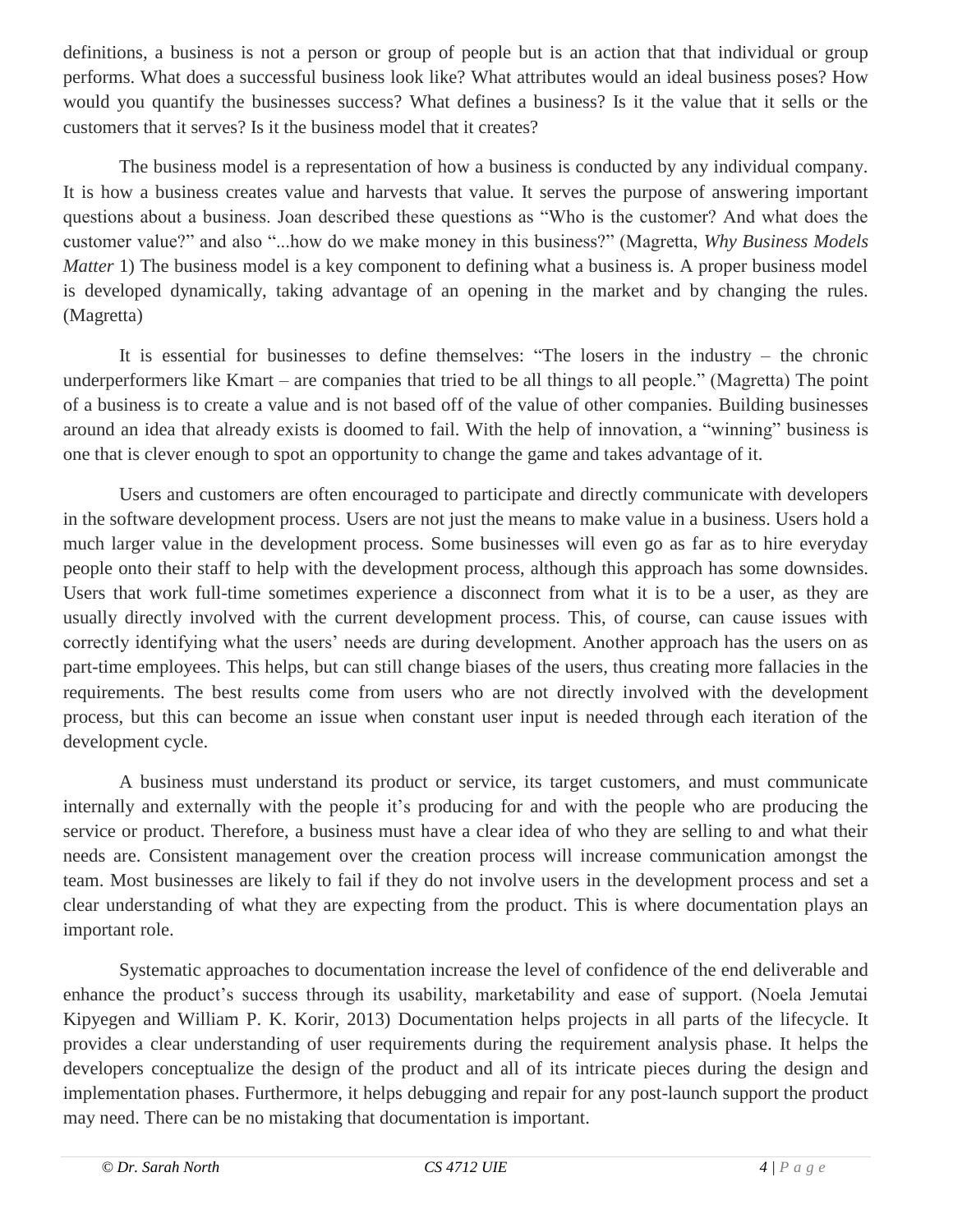definitions, a business is not a person or group of people but is an action that that individual or group performs. What does a successful business look like? What attributes would an ideal business poses? How would you quantify the businesses success? What defines a business? Is it the value that it sells or the customers that it serves? Is it the business model that it creates?

The business model is a representation of how a business is conducted by any individual company. It is how a business creates value and harvests that value. It serves the purpose of answering important questions about a business. Joan described these questions as "Who is the customer? And what does the customer value?" and also "...how do we make money in this business?" (Magretta, *Why Business Models Matter* 1) The business model is a key component to defining what a business is. A proper business model is developed dynamically, taking advantage of an opening in the market and by changing the rules. (Magretta)

It is essential for businesses to define themselves: "The losers in the industry – the chronic underperformers like Kmart – are companies that tried to be all things to all people." (Magretta) The point of a business is to create a value and is not based off of the value of other companies. Building businesses around an idea that already exists is doomed to fail. With the help of innovation, a "winning" business is one that is clever enough to spot an opportunity to change the game and takes advantage of it.

Users and customers are often encouraged to participate and directly communicate with developers in the software development process. Users are not just the means to make value in a business. Users hold a much larger value in the development process. Some businesses will even go as far as to hire everyday people onto their staff to help with the development process, although this approach has some downsides. Users that work full-time sometimes experience a disconnect from what it is to be a user, as they are usually directly involved with the current development process. This, of course, can cause issues with correctly identifying what the users' needs are during development. Another approach has the users on as part-time employees. This helps, but can still change biases of the users, thus creating more fallacies in the requirements. The best results come from users who are not directly involved with the development process, but this can become an issue when constant user input is needed through each iteration of the development cycle.

A business must understand its product or service, its target customers, and must communicate internally and externally with the people it's producing for and with the people who are producing the service or product. Therefore, a business must have a clear idea of who they are selling to and what their needs are. Consistent management over the creation process will increase communication amongst the team. Most businesses are likely to fail if they do not involve users in the development process and set a clear understanding of what they are expecting from the product. This is where documentation plays an important role.

Systematic approaches to documentation increase the level of confidence of the end deliverable and enhance the product's success through its usability, marketability and ease of support. (Noela Jemutai Kipyegen and William P. K. Korir, 2013) Documentation helps projects in all parts of the lifecycle. It provides a clear understanding of user requirements during the requirement analysis phase. It helps the developers conceptualize the design of the product and all of its intricate pieces during the design and implementation phases. Furthermore, it helps debugging and repair for any post-launch support the product may need. There can be no mistaking that documentation is important.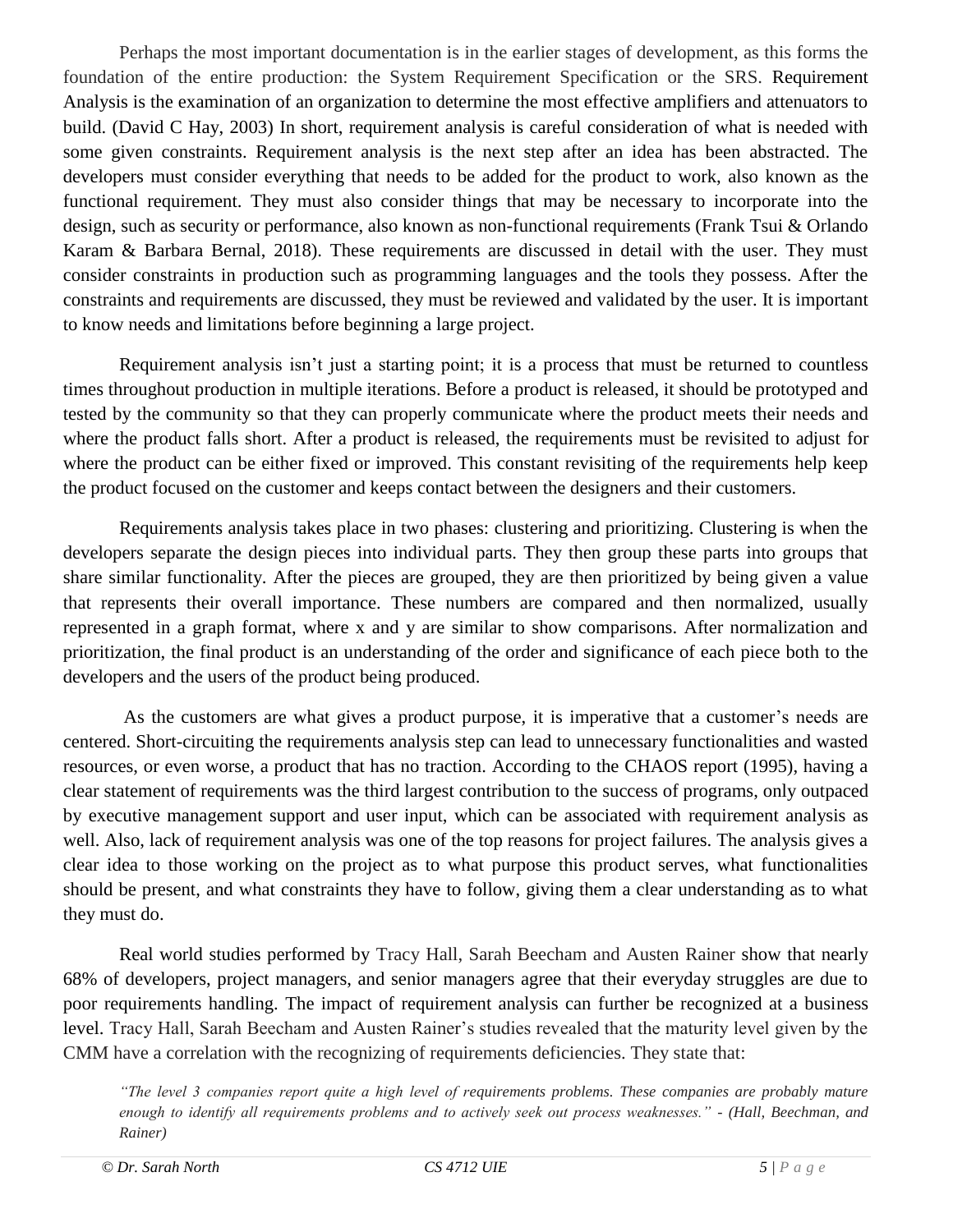Perhaps the most important documentation is in the earlier stages of development, as this forms the foundation of the entire production: the System Requirement Specification or the SRS. Requirement Analysis is the examination of an organization to determine the most effective amplifiers and attenuators to build. (David C Hay, 2003) In short, requirement analysis is careful consideration of what is needed with some given constraints. Requirement analysis is the next step after an idea has been abstracted. The developers must consider everything that needs to be added for the product to work, also known as the functional requirement. They must also consider things that may be necessary to incorporate into the design, such as security or performance, also known as non-functional requirements (Frank Tsui & Orlando Karam & Barbara Bernal, 2018). These requirements are discussed in detail with the user. They must consider constraints in production such as programming languages and the tools they possess. After the constraints and requirements are discussed, they must be reviewed and validated by the user. It is important to know needs and limitations before beginning a large project.

Requirement analysis isn't just a starting point; it is a process that must be returned to countless times throughout production in multiple iterations. Before a product is released, it should be prototyped and tested by the community so that they can properly communicate where the product meets their needs and where the product falls short. After a product is released, the requirements must be revisited to adjust for where the product can be either fixed or improved. This constant revisiting of the requirements help keep the product focused on the customer and keeps contact between the designers and their customers.

Requirements analysis takes place in two phases: clustering and prioritizing. Clustering is when the developers separate the design pieces into individual parts. They then group these parts into groups that share similar functionality. After the pieces are grouped, they are then prioritized by being given a value that represents their overall importance. These numbers are compared and then normalized, usually represented in a graph format, where x and y are similar to show comparisons. After normalization and prioritization, the final product is an understanding of the order and significance of each piece both to the developers and the users of the product being produced.

As the customers are what gives a product purpose, it is imperative that a customer's needs are centered. Short-circuiting the requirements analysis step can lead to unnecessary functionalities and wasted resources, or even worse, a product that has no traction. According to the CHAOS report (1995), having a clear statement of requirements was the third largest contribution to the success of programs, only outpaced by executive management support and user input, which can be associated with requirement analysis as well. Also, lack of requirement analysis was one of the top reasons for project failures. The analysis gives a clear idea to those working on the project as to what purpose this product serves, what functionalities should be present, and what constraints they have to follow, giving them a clear understanding as to what they must do.

Real world studies performed by Tracy Hall, Sarah Beecham and Austen Rainer show that nearly 68% of developers, project managers, and senior managers agree that their everyday struggles are due to poor requirements handling. The impact of requirement analysis can further be recognized at a business level. Tracy Hall, Sarah Beecham and Austen Rainer's studies revealed that the maturity level given by the CMM have a correlation with the recognizing of requirements deficiencies. They state that:

*"The level 3 companies report quite a high level of requirements problems. These companies are probably mature enough to identify all requirements problems and to actively seek out process weaknesses." - (Hall, Beechman, and Rainer)*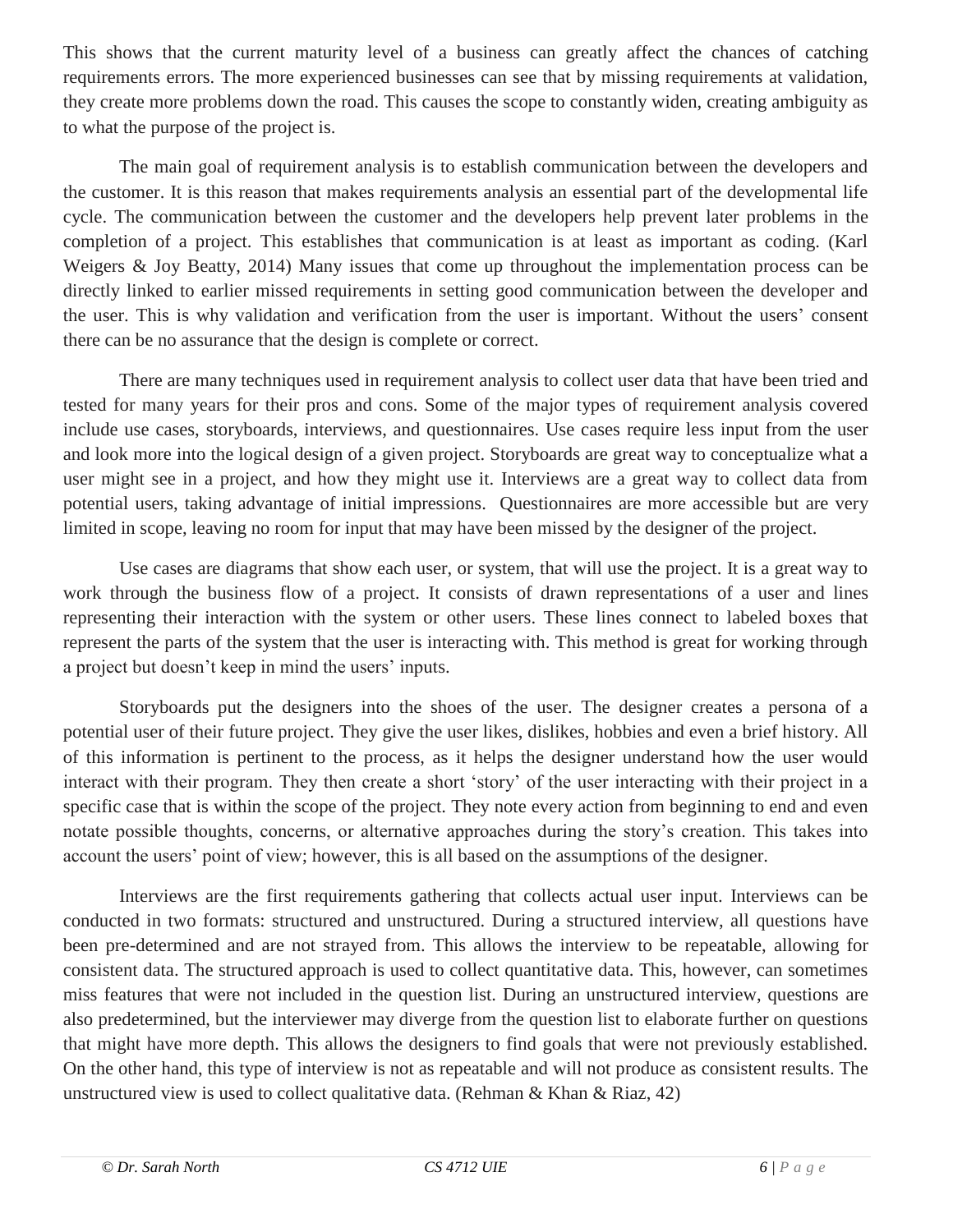This shows that the current maturity level of a business can greatly affect the chances of catching requirements errors. The more experienced businesses can see that by missing requirements at validation, they create more problems down the road. This causes the scope to constantly widen, creating ambiguity as to what the purpose of the project is.

The main goal of requirement analysis is to establish communication between the developers and the customer. It is this reason that makes requirements analysis an essential part of the developmental life cycle. The communication between the customer and the developers help prevent later problems in the completion of a project. This establishes that communication is at least as important as coding. (Karl Weigers & Joy Beatty, 2014) Many issues that come up throughout the implementation process can be directly linked to earlier missed requirements in setting good communication between the developer and the user. This is why validation and verification from the user is important. Without the users' consent there can be no assurance that the design is complete or correct.

There are many techniques used in requirement analysis to collect user data that have been tried and tested for many years for their pros and cons. Some of the major types of requirement analysis covered include use cases, storyboards, interviews, and questionnaires. Use cases require less input from the user and look more into the logical design of a given project. Storyboards are great way to conceptualize what a user might see in a project, and how they might use it. Interviews are a great way to collect data from potential users, taking advantage of initial impressions. Questionnaires are more accessible but are very limited in scope, leaving no room for input that may have been missed by the designer of the project.

Use cases are diagrams that show each user, or system, that will use the project. It is a great way to work through the business flow of a project. It consists of drawn representations of a user and lines representing their interaction with the system or other users. These lines connect to labeled boxes that represent the parts of the system that the user is interacting with. This method is great for working through a project but doesn't keep in mind the users' inputs.

Storyboards put the designers into the shoes of the user. The designer creates a persona of a potential user of their future project. They give the user likes, dislikes, hobbies and even a brief history. All of this information is pertinent to the process, as it helps the designer understand how the user would interact with their program. They then create a short 'story' of the user interacting with their project in a specific case that is within the scope of the project. They note every action from beginning to end and even notate possible thoughts, concerns, or alternative approaches during the story's creation. This takes into account the users' point of view; however, this is all based on the assumptions of the designer.

Interviews are the first requirements gathering that collects actual user input. Interviews can be conducted in two formats: structured and unstructured. During a structured interview, all questions have been pre-determined and are not strayed from. This allows the interview to be repeatable, allowing for consistent data. The structured approach is used to collect quantitative data. This, however, can sometimes miss features that were not included in the question list. During an unstructured interview, questions are also predetermined, but the interviewer may diverge from the question list to elaborate further on questions that might have more depth. This allows the designers to find goals that were not previously established. On the other hand, this type of interview is not as repeatable and will not produce as consistent results. The unstructured view is used to collect qualitative data. (Rehman & Khan & Riaz,  $42$ )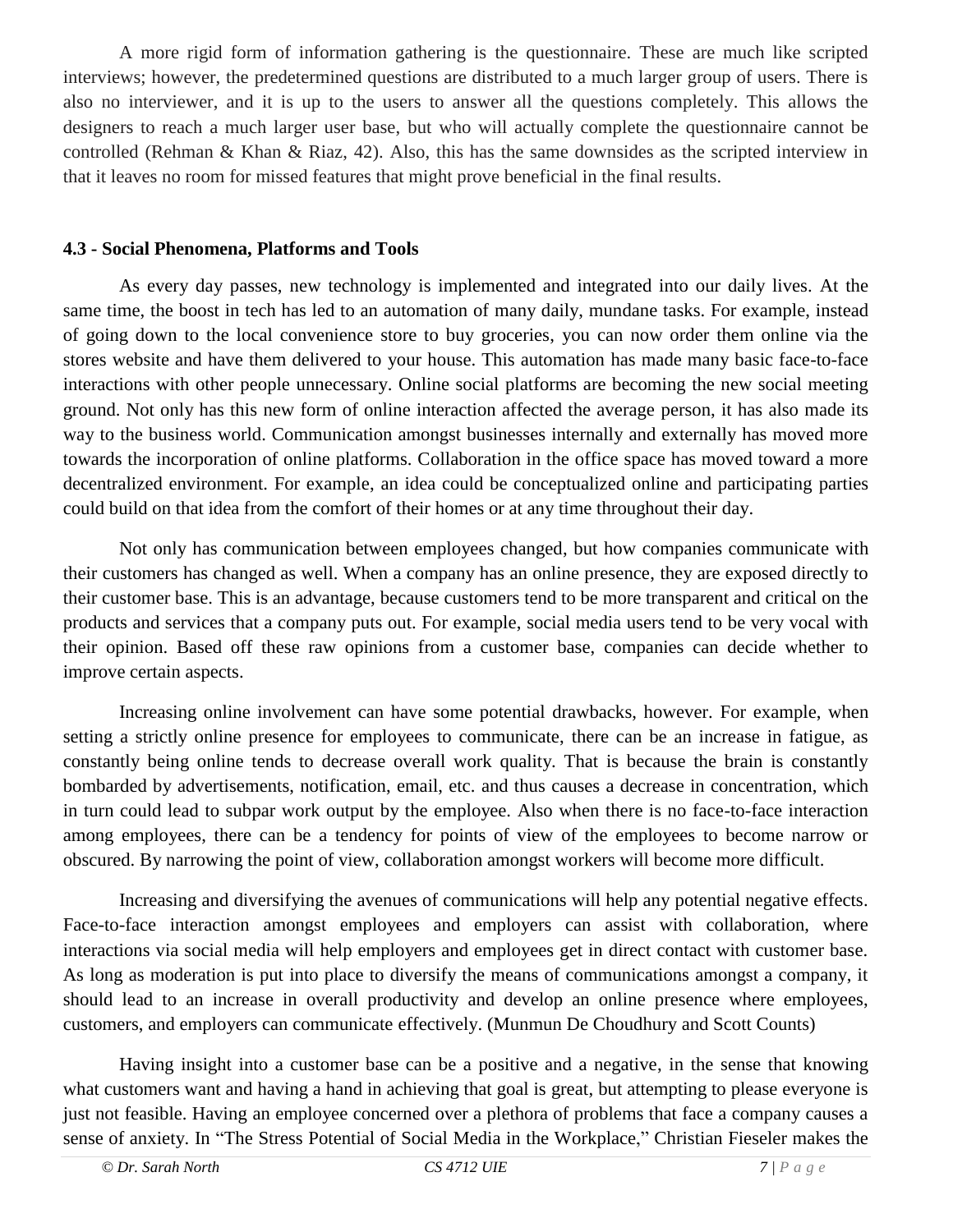A more rigid form of information gathering is the questionnaire. These are much like scripted interviews; however, the predetermined questions are distributed to a much larger group of users. There is also no interviewer, and it is up to the users to answer all the questions completely. This allows the designers to reach a much larger user base, but who will actually complete the questionnaire cannot be controlled (Rehman & Khan & Riaz, 42). Also, this has the same downsides as the scripted interview in that it leaves no room for missed features that might prove beneficial in the final results.

#### **4.3 - Social Phenomena, Platforms and Tools**

 As every day passes, new technology is implemented and integrated into our daily lives. At the same time, the boost in tech has led to an automation of many daily, mundane tasks. For example, instead of going down to the local convenience store to buy groceries, you can now order them online via the stores website and have them delivered to your house. This automation has made many basic face-to-face interactions with other people unnecessary. Online social platforms are becoming the new social meeting ground. Not only has this new form of online interaction affected the average person, it has also made its way to the business world. Communication amongst businesses internally and externally has moved more towards the incorporation of online platforms. Collaboration in the office space has moved toward a more decentralized environment. For example, an idea could be conceptualized online and participating parties could build on that idea from the comfort of their homes or at any time throughout their day.

Not only has communication between employees changed, but how companies communicate with their customers has changed as well. When a company has an online presence, they are exposed directly to their customer base. This is an advantage, because customers tend to be more transparent and critical on the products and services that a company puts out. For example, social media users tend to be very vocal with their opinion. Based off these raw opinions from a customer base, companies can decide whether to improve certain aspects.

Increasing online involvement can have some potential drawbacks, however. For example, when setting a strictly online presence for employees to communicate, there can be an increase in fatigue, as constantly being online tends to decrease overall work quality. That is because the brain is constantly bombarded by advertisements, notification, email, etc. and thus causes a decrease in concentration, which in turn could lead to subpar work output by the employee. Also when there is no face-to-face interaction among employees, there can be a tendency for points of view of the employees to become narrow or obscured. By narrowing the point of view, collaboration amongst workers will become more difficult.

Increasing and diversifying the avenues of communications will help any potential negative effects. Face-to-face interaction amongst employees and employers can assist with collaboration, where interactions via social media will help employers and employees get in direct contact with customer base. As long as moderation is put into place to diversify the means of communications amongst a company, it should lead to an increase in overall productivity and develop an online presence where employees, customers, and employers can communicate effectively. (Munmun De Choudhury and Scott Counts)

Having insight into a customer base can be a positive and a negative, in the sense that knowing what customers want and having a hand in achieving that goal is great, but attempting to please everyone is just not feasible. Having an employee concerned over a plethora of problems that face a company causes a sense of anxiety. In "The Stress Potential of Social Media in the Workplace," Christian Fieseler makes the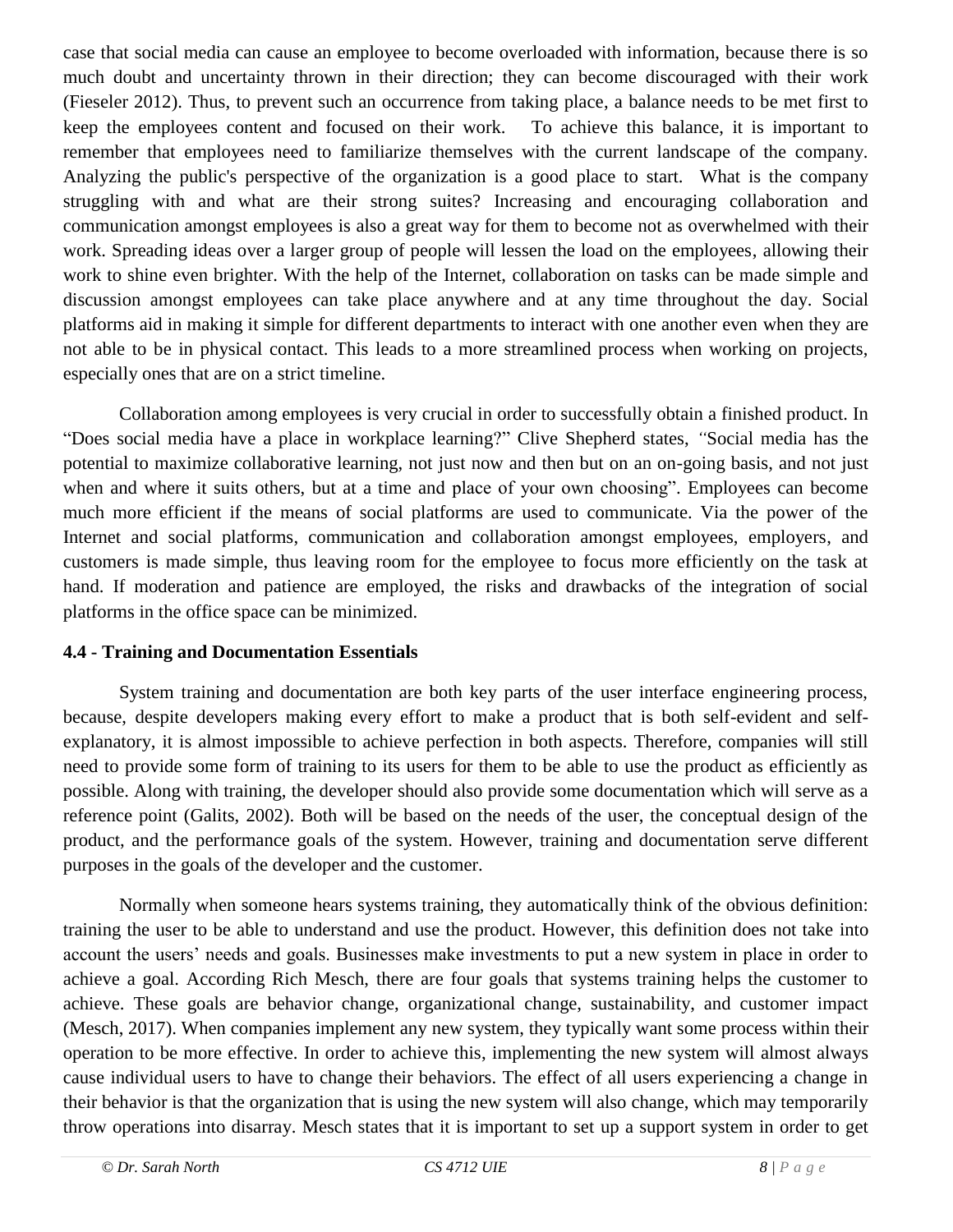case that social media can cause an employee to become overloaded with information, because there is so much doubt and uncertainty thrown in their direction; they can become discouraged with their work (Fieseler 2012). Thus, to prevent such an occurrence from taking place, a balance needs to be met first to keep the employees content and focused on their work. To achieve this balance, it is important to remember that employees need to familiarize themselves with the current landscape of the company. Analyzing the public's perspective of the organization is a good place to start. What is the company struggling with and what are their strong suites? Increasing and encouraging collaboration and communication amongst employees is also a great way for them to become not as overwhelmed with their work. Spreading ideas over a larger group of people will lessen the load on the employees, allowing their work to shine even brighter. With the help of the Internet, collaboration on tasks can be made simple and discussion amongst employees can take place anywhere and at any time throughout the day. Social platforms aid in making it simple for different departments to interact with one another even when they are not able to be in physical contact. This leads to a more streamlined process when working on projects, especially ones that are on a strict timeline.

Collaboration among employees is very crucial in order to successfully obtain a finished product. In "Does social media have a place in workplace learning?" Clive Shepherd states, *"*Social media has the potential to maximize collaborative learning, not just now and then but on an on-going basis, and not just when and where it suits others, but at a time and place of your own choosing". Employees can become much more efficient if the means of social platforms are used to communicate. Via the power of the Internet and social platforms, communication and collaboration amongst employees, employers, and customers is made simple, thus leaving room for the employee to focus more efficiently on the task at hand. If moderation and patience are employed, the risks and drawbacks of the integration of social platforms in the office space can be minimized.

#### **4.4 - Training and Documentation Essentials**

 System training and documentation are both key parts of the user interface engineering process, because, despite developers making every effort to make a product that is both self-evident and selfexplanatory, it is almost impossible to achieve perfection in both aspects. Therefore, companies will still need to provide some form of training to its users for them to be able to use the product as efficiently as possible. Along with training, the developer should also provide some documentation which will serve as a reference point (Galits, 2002). Both will be based on the needs of the user, the conceptual design of the product, and the performance goals of the system. However, training and documentation serve different purposes in the goals of the developer and the customer.

Normally when someone hears systems training, they automatically think of the obvious definition: training the user to be able to understand and use the product. However, this definition does not take into account the users' needs and goals. Businesses make investments to put a new system in place in order to achieve a goal. According Rich Mesch, there are four goals that systems training helps the customer to achieve. These goals are behavior change, organizational change, sustainability, and customer impact (Mesch, 2017). When companies implement any new system, they typically want some process within their operation to be more effective. In order to achieve this, implementing the new system will almost always cause individual users to have to change their behaviors. The effect of all users experiencing a change in their behavior is that the organization that is using the new system will also change, which may temporarily throw operations into disarray. Mesch states that it is important to set up a support system in order to get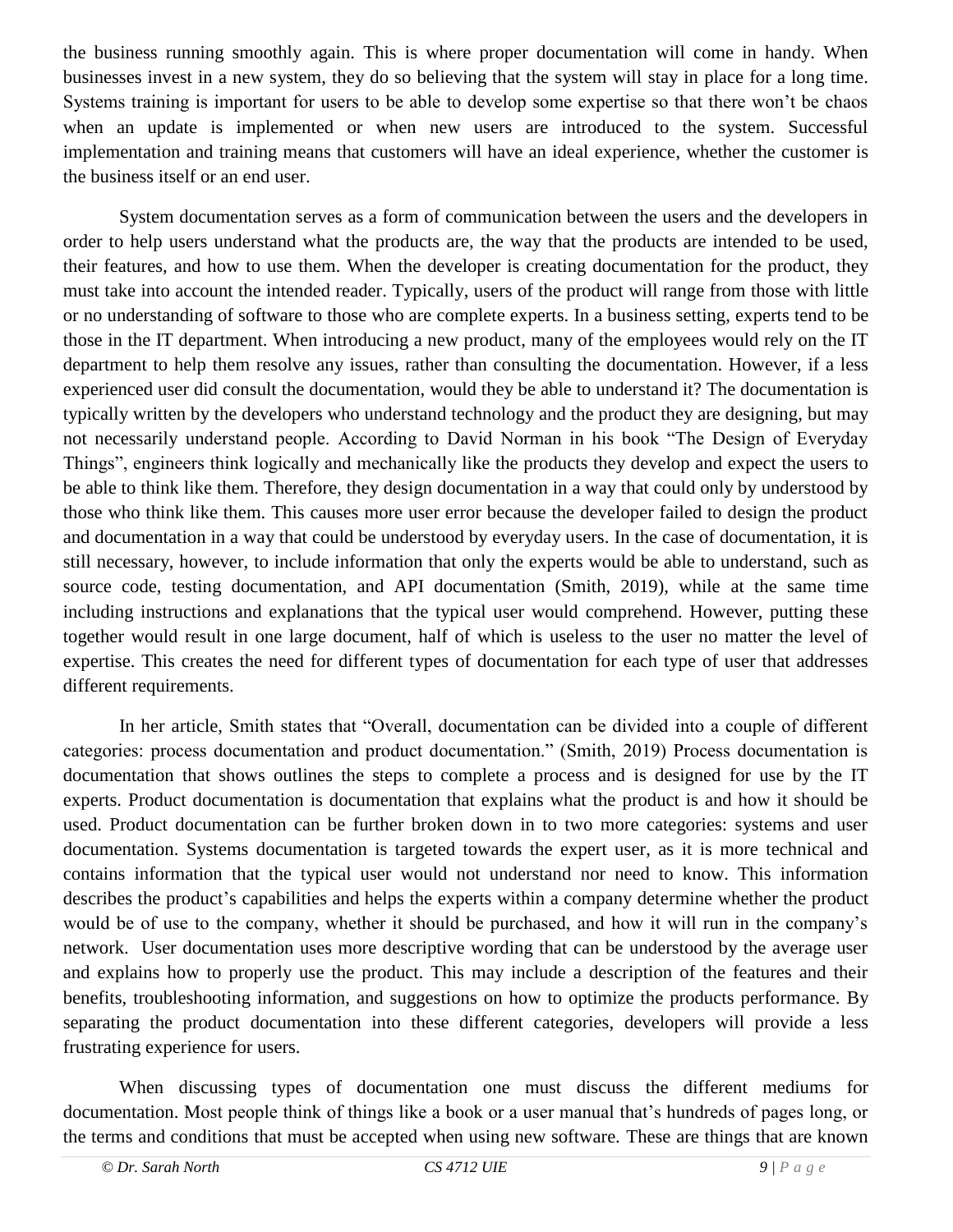the business running smoothly again. This is where proper documentation will come in handy. When businesses invest in a new system, they do so believing that the system will stay in place for a long time. Systems training is important for users to be able to develop some expertise so that there won't be chaos when an update is implemented or when new users are introduced to the system. Successful implementation and training means that customers will have an ideal experience, whether the customer is the business itself or an end user.

System documentation serves as a form of communication between the users and the developers in order to help users understand what the products are, the way that the products are intended to be used, their features, and how to use them. When the developer is creating documentation for the product, they must take into account the intended reader. Typically, users of the product will range from those with little or no understanding of software to those who are complete experts. In a business setting, experts tend to be those in the IT department. When introducing a new product, many of the employees would rely on the IT department to help them resolve any issues, rather than consulting the documentation. However, if a less experienced user did consult the documentation, would they be able to understand it? The documentation is typically written by the developers who understand technology and the product they are designing, but may not necessarily understand people. According to David Norman in his book "The Design of Everyday Things", engineers think logically and mechanically like the products they develop and expect the users to be able to think like them. Therefore, they design documentation in a way that could only by understood by those who think like them. This causes more user error because the developer failed to design the product and documentation in a way that could be understood by everyday users. In the case of documentation, it is still necessary, however, to include information that only the experts would be able to understand, such as source code, testing documentation, and API documentation (Smith, 2019), while at the same time including instructions and explanations that the typical user would comprehend. However, putting these together would result in one large document, half of which is useless to the user no matter the level of expertise. This creates the need for different types of documentation for each type of user that addresses different requirements.

 In her article, Smith states that "Overall, documentation can be divided into a couple of different categories: process documentation and product documentation." (Smith, 2019) Process documentation is documentation that shows outlines the steps to complete a process and is designed for use by the IT experts. Product documentation is documentation that explains what the product is and how it should be used. Product documentation can be further broken down in to two more categories: systems and user documentation. Systems documentation is targeted towards the expert user, as it is more technical and contains information that the typical user would not understand nor need to know. This information describes the product's capabilities and helps the experts within a company determine whether the product would be of use to the company, whether it should be purchased, and how it will run in the company's network. User documentation uses more descriptive wording that can be understood by the average user and explains how to properly use the product. This may include a description of the features and their benefits, troubleshooting information, and suggestions on how to optimize the products performance. By separating the product documentation into these different categories, developers will provide a less frustrating experience for users.

When discussing types of documentation one must discuss the different mediums for documentation. Most people think of things like a book or a user manual that's hundreds of pages long, or the terms and conditions that must be accepted when using new software. These are things that are known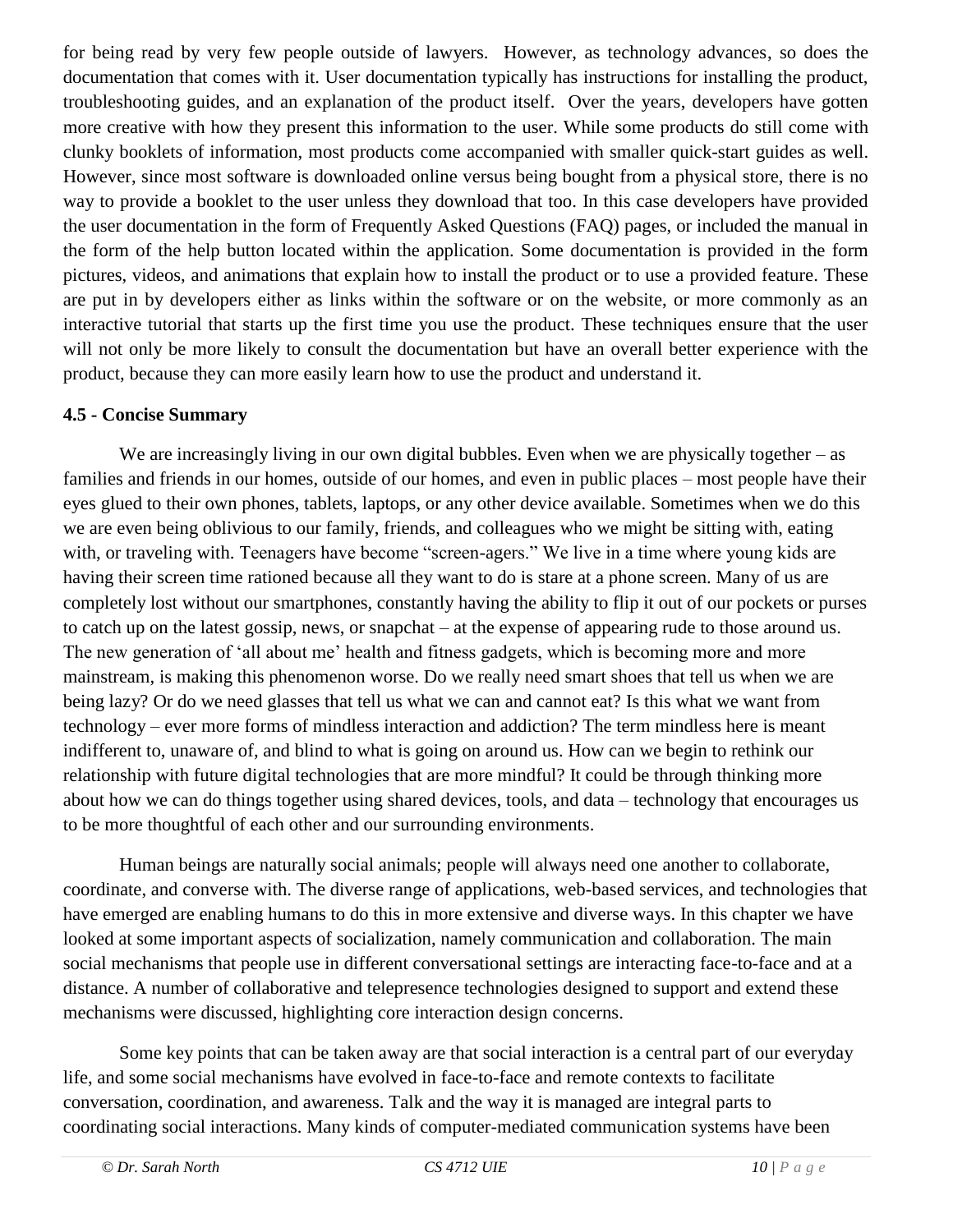for being read by very few people outside of lawyers. However, as technology advances, so does the documentation that comes with it. User documentation typically has instructions for installing the product, troubleshooting guides, and an explanation of the product itself. Over the years, developers have gotten more creative with how they present this information to the user. While some products do still come with clunky booklets of information, most products come accompanied with smaller quick-start guides as well. However, since most software is downloaded online versus being bought from a physical store, there is no way to provide a booklet to the user unless they download that too. In this case developers have provided the user documentation in the form of Frequently Asked Questions (FAQ) pages, or included the manual in the form of the help button located within the application. Some documentation is provided in the form pictures, videos, and animations that explain how to install the product or to use a provided feature. These are put in by developers either as links within the software or on the website, or more commonly as an interactive tutorial that starts up the first time you use the product. These techniques ensure that the user will not only be more likely to consult the documentation but have an overall better experience with the product, because they can more easily learn how to use the product and understand it.

#### **4.5 - Concise Summary**

We are increasingly living in our own digital bubbles. Even when we are physically together – as families and friends in our homes, outside of our homes, and even in public places – most people have their eyes glued to their own phones, tablets, laptops, or any other device available. Sometimes when we do this we are even being oblivious to our family, friends, and colleagues who we might be sitting with, eating with, or traveling with. Teenagers have become "screen-agers." We live in a time where young kids are having their screen time rationed because all they want to do is stare at a phone screen. Many of us are completely lost without our smartphones, constantly having the ability to flip it out of our pockets or purses to catch up on the latest gossip, news, or snapchat – at the expense of appearing rude to those around us. The new generation of 'all about me' health and fitness gadgets, which is becoming more and more mainstream, is making this phenomenon worse. Do we really need smart shoes that tell us when we are being lazy? Or do we need glasses that tell us what we can and cannot eat? Is this what we want from technology – ever more forms of mindless interaction and addiction? The term mindless here is meant indifferent to, unaware of, and blind to what is going on around us. How can we begin to rethink our relationship with future digital technologies that are more mindful? It could be through thinking more about how we can do things together using shared devices, tools, and data – technology that encourages us to be more thoughtful of each other and our surrounding environments.

Human beings are naturally social animals; people will always need one another to collaborate, coordinate, and converse with. The diverse range of applications, web-based services, and technologies that have emerged are enabling humans to do this in more extensive and diverse ways. In this chapter we have looked at some important aspects of socialization, namely communication and collaboration. The main social mechanisms that people use in different conversational settings are interacting face-to-face and at a distance. A number of collaborative and telepresence technologies designed to support and extend these mechanisms were discussed, highlighting core interaction design concerns.

 Some key points that can be taken away are that social interaction is a central part of our everyday life, and some social mechanisms have evolved in face-to-face and remote contexts to facilitate conversation, coordination, and awareness. Talk and the way it is managed are integral parts to coordinating social interactions. Many kinds of computer-mediated communication systems have been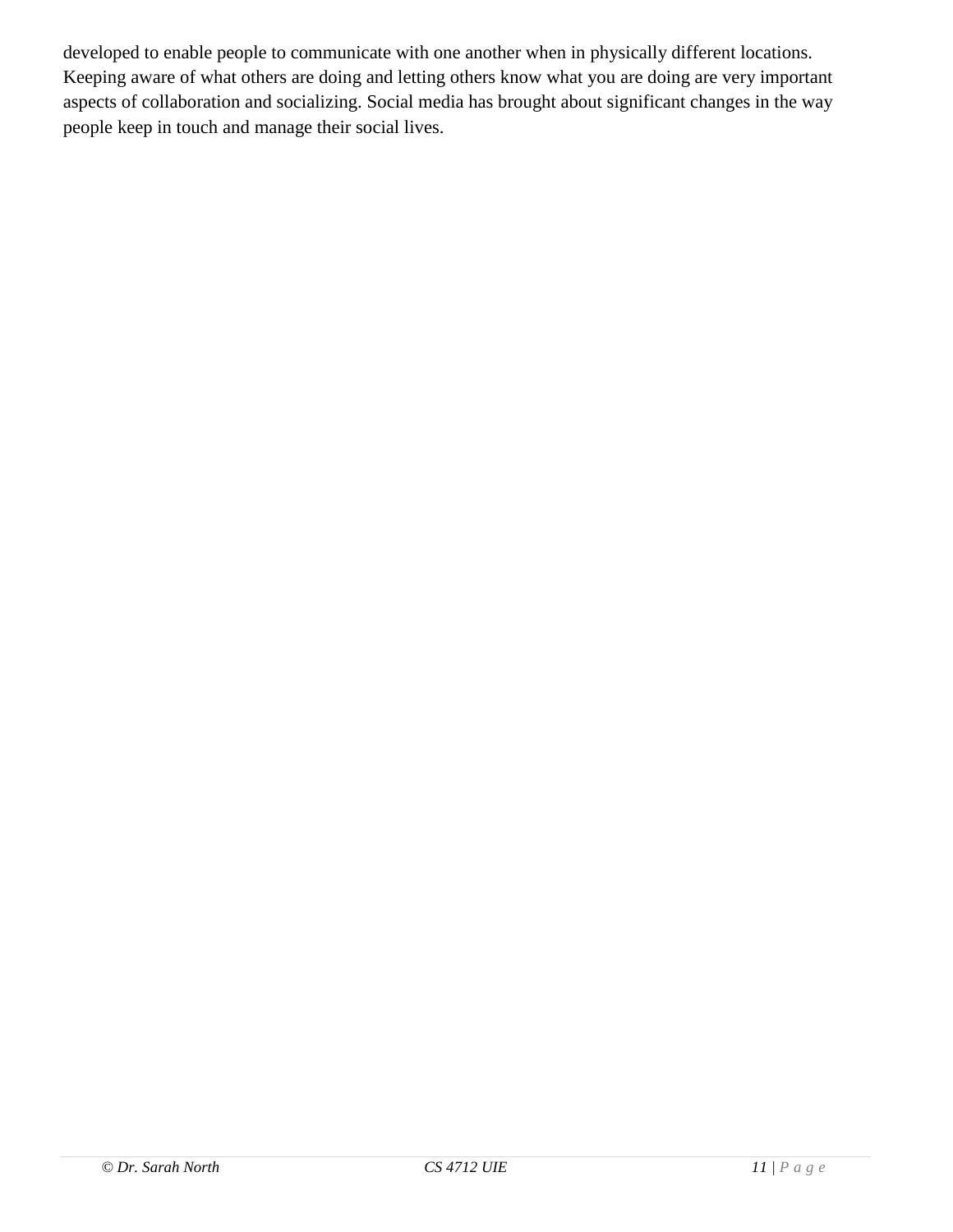developed to enable people to communicate with one another when in physically different locations. Keeping aware of what others are doing and letting others know what you are doing are very important aspects of collaboration and socializing. Social media has brought about significant changes in the way people keep in touch and manage their social lives.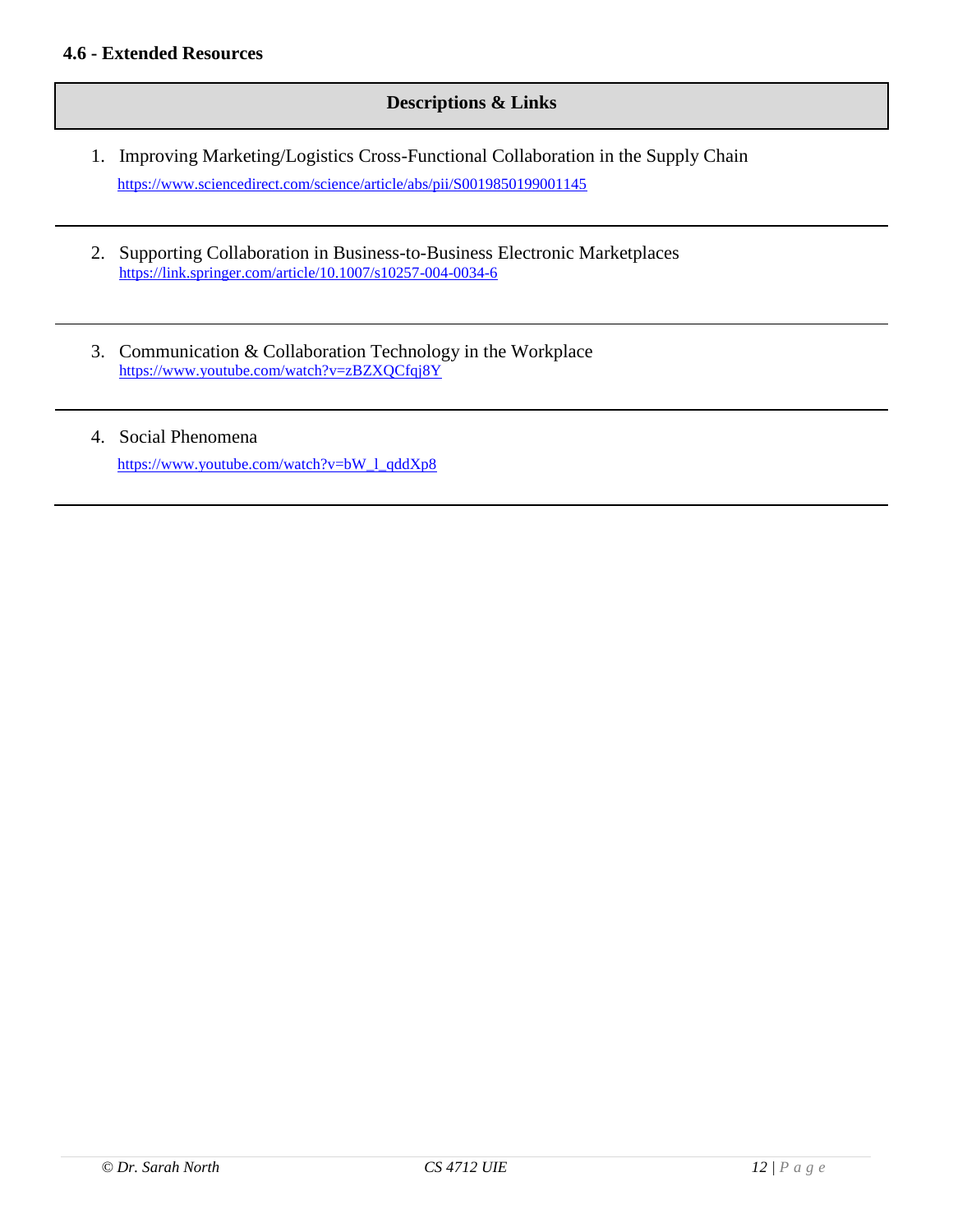#### **Descriptions & Links**

- 1. Improving Marketing/Logistics Cross-Functional Collaboration in the Supply Chain <https://www.sciencedirect.com/science/article/abs/pii/S0019850199001145>
- 2. Supporting Collaboration in Business-to-Business Electronic Marketplaces <https://link.springer.com/article/10.1007/s10257-004-0034-6>
- 3. Communication & Collaboration Technology in the Workplace <https://www.youtube.com/watch?v=zBZXQCfqj8Y>
- 4. Social Phenomena [https://www.youtube.com/watch?v=bW\\_l\\_qddXp8](https://www.youtube.com/watch?v=bW_l_qddXp8)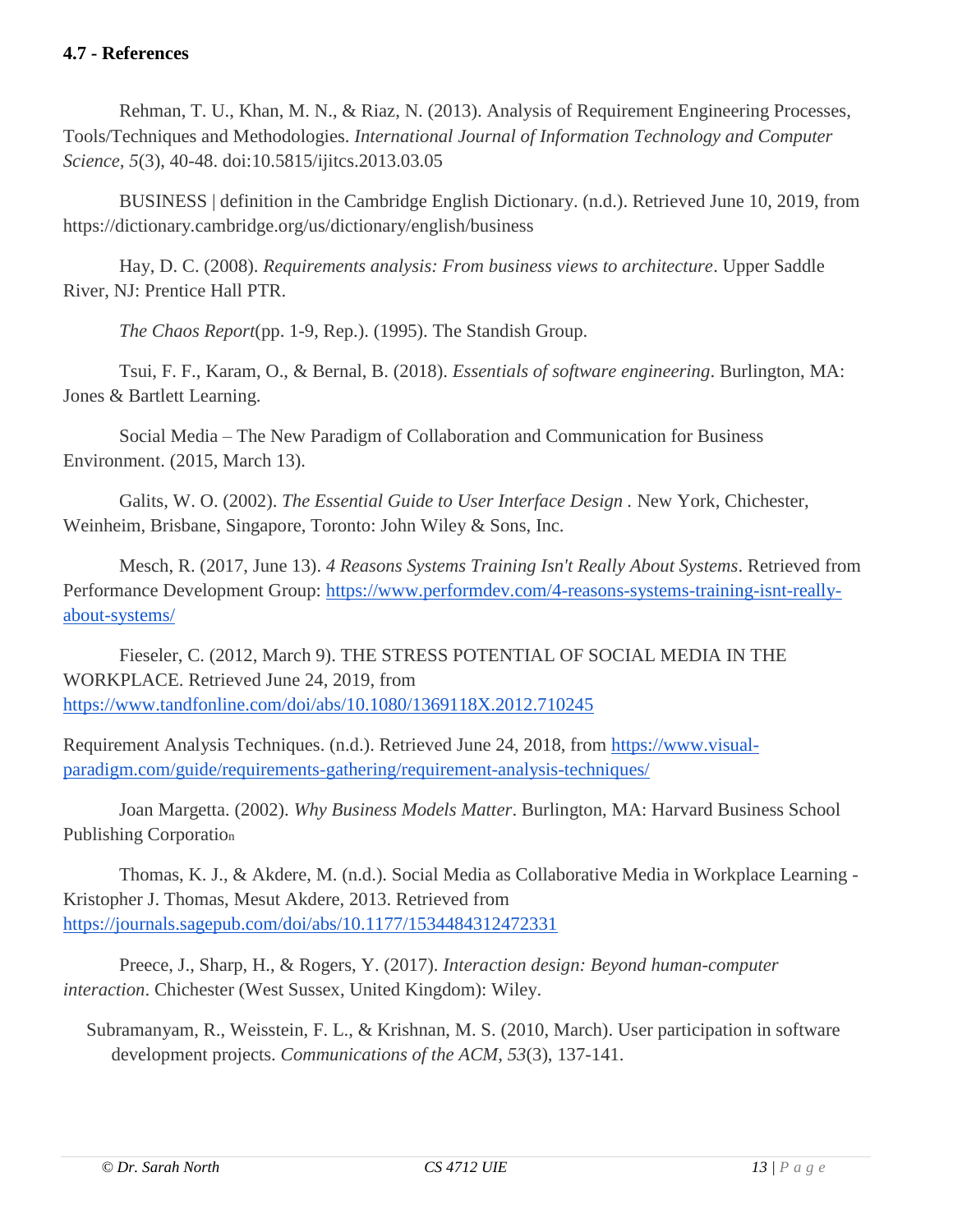#### **4.7 - References**

Rehman, T. U., Khan, M. N., & Riaz, N. (2013). Analysis of Requirement Engineering Processes, Tools/Techniques and Methodologies. *International Journal of Information Technology and Computer Science, 5*(3), 40-48. doi:10.5815/ijitcs.2013.03.05

BUSINESS | definition in the Cambridge English Dictionary. (n.d.). Retrieved June 10, 2019, from https://dictionary.cambridge.org/us/dictionary/english/business

Hay, D. C. (2008). *Requirements analysis: From business views to architecture*. Upper Saddle River, NJ: Prentice Hall PTR.

*The Chaos Report*(pp. 1-9, Rep.). (1995). The Standish Group.

Tsui, F. F., Karam, O., & Bernal, B. (2018). *Essentials of software engineering*. Burlington, MA: Jones & Bartlett Learning.

Social Media – The New Paradigm of Collaboration and Communication for Business Environment. (2015, March 13).

Galits, W. O. (2002). *The Essential Guide to User Interface Design .* New York, Chichester, Weinheim, Brisbane, Singapore, Toronto: John Wiley & Sons, Inc.

Mesch, R. (2017, June 13). *4 Reasons Systems Training Isn't Really About Systems*. Retrieved from Performance Development Group: [https://www.performdev.com/4-reasons-systems-training-isnt-really](https://www.performdev.com/4-reasons-systems-training-isnt-really-about-systems/)[about-systems/](https://www.performdev.com/4-reasons-systems-training-isnt-really-about-systems/)

Fieseler, C. (2012, March 9). THE STRESS POTENTIAL OF SOCIAL MEDIA IN THE WORKPLACE. Retrieved June 24, 2019, from <https://www.tandfonline.com/doi/abs/10.1080/1369118X.2012.710245>

Requirement Analysis Techniques. (n.d.). Retrieved June 24, 2018, from [https://www.visual](https://www.visual-paradigm.com/guide/requirements-gathering/requirement-analysis-techniques/)[paradigm.com/guide/requirements-gathering/requirement-analysis-techniques/](https://www.visual-paradigm.com/guide/requirements-gathering/requirement-analysis-techniques/)

Joan Margetta. (2002). *Why Business Models Matter*. Burlington, MA: Harvard Business School Publishing Corporatio<sup>n</sup>

Thomas, K. J., & Akdere, M. (n.d.). Social Media as Collaborative Media in Workplace Learning - Kristopher J. Thomas, Mesut Akdere, 2013. Retrieved from <https://journals.sagepub.com/doi/abs/10.1177/1534484312472331>

Preece, J., Sharp, H., & Rogers, Y. (2017). *Interaction design: Beyond human-computer interaction*. Chichester (West Sussex, United Kingdom): Wiley.

Subramanyam, R., Weisstein, F. L., & Krishnan, M. S. (2010, March). User participation in software development projects. *Communications of the ACM*, *53*(3), 137-141.